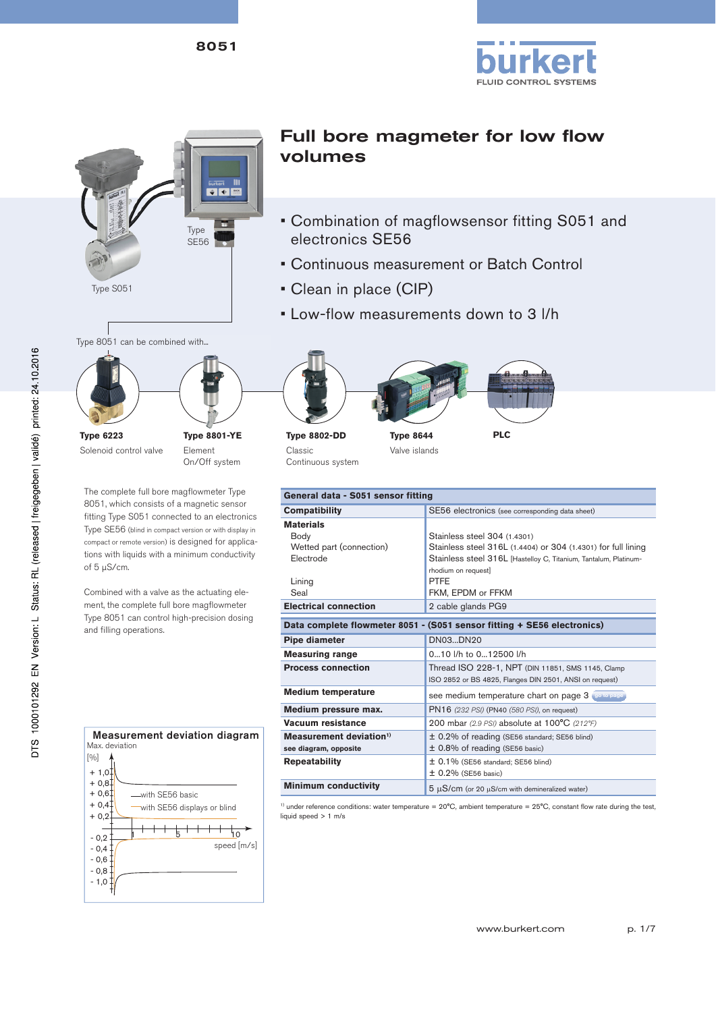



The complete full bore magflowmeter Type 8051, which consists of a magnetic sensor fitting Type S051 connected to an electronics Type SE56 (blind in compact version or with display in compact or remote version) is designed for applications with liquids with a minimum conductivity

Element On/Off system

Combined with a valve as the actuating element, the complete full bore magflowmeter Type 8051 can control high-precision dosing

of 5 µS/cm.

**Type 6223**

Solenoid control valve

and filling operations.

## Full bore magmeter for low flow volumes

- Combination of magflowsensor fitting S051 and electronics SE56
- Continuous measurement or Batch Control
- Clean in place (CIP)
- Low-flow measurements down to 3 l/h



**Type 8802-DD** Classic Continuous system

**Type 8644** Valve islands



**PLC**

| General data - S051 sensor fitting  |                                                                         |  |  |  |  |
|-------------------------------------|-------------------------------------------------------------------------|--|--|--|--|
| <b>Compatibility</b>                | SE56 electronics (see corresponding data sheet)                         |  |  |  |  |
| <b>Materials</b>                    |                                                                         |  |  |  |  |
| Body                                | Stainless steel 304 (1.4301)                                            |  |  |  |  |
| Wetted part (connection)            | Stainless steel 316L (1.4404) or 304 (1.4301) for full lining           |  |  |  |  |
| Electrode                           | Stainless steel 316L [Hastelloy C, Titanium, Tantalum, Platinum-        |  |  |  |  |
|                                     | rhodium on request]                                                     |  |  |  |  |
| Lining                              | <b>PTFF</b>                                                             |  |  |  |  |
| Seal                                | FKM, EPDM or FFKM                                                       |  |  |  |  |
| <b>Electrical connection</b>        | 2 cable glands PG9                                                      |  |  |  |  |
|                                     | Data complete flowmeter 8051 - (S051 sensor fitting + SE56 electronics) |  |  |  |  |
| <b>Pipe diameter</b>                | DN03DN20                                                                |  |  |  |  |
| <b>Measuring range</b>              | 010 I/h to 012500 I/h                                                   |  |  |  |  |
| <b>Process connection</b>           | Thread ISO 228-1, NPT (DIN 11851, SMS 1145, Clamp                       |  |  |  |  |
|                                     | ISO 2852 or BS 4825, Flanges DIN 2501, ANSI on request)                 |  |  |  |  |
| <b>Medium temperature</b>           | see medium temperature chart on page 3 so to page                       |  |  |  |  |
| Medium pressure max.                | PN16 (232 PSI) (PN40 (580 PSI), on request)                             |  |  |  |  |
| Vacuum resistance                   | 200 mbar (2.9 PSI) absolute at 100°C (212°F)                            |  |  |  |  |
| Measurement deviation <sup>1)</sup> | ± 0.2% of reading (SE56 standard; SE56 blind)                           |  |  |  |  |
| see diagram, opposite               | ± 0.8% of reading (SE56 basic)                                          |  |  |  |  |
| <b>Repeatability</b>                | $\pm$ 0.1% (SE56 standard; SE56 blind)                                  |  |  |  |  |
|                                     | $\pm$ 0.2% (SE56 basic)                                                 |  |  |  |  |
| <b>Minimum conductivity</b>         | $5 \mu S/cm$ (or 20 $\mu S/cm$ with demineralized water)                |  |  |  |  |

 $1)$  under reference conditions: water temperature =  $20^{\circ}$ C, ambient temperature =  $25^{\circ}$ C, constant flow rate during the test, liquid speed > 1 m/s

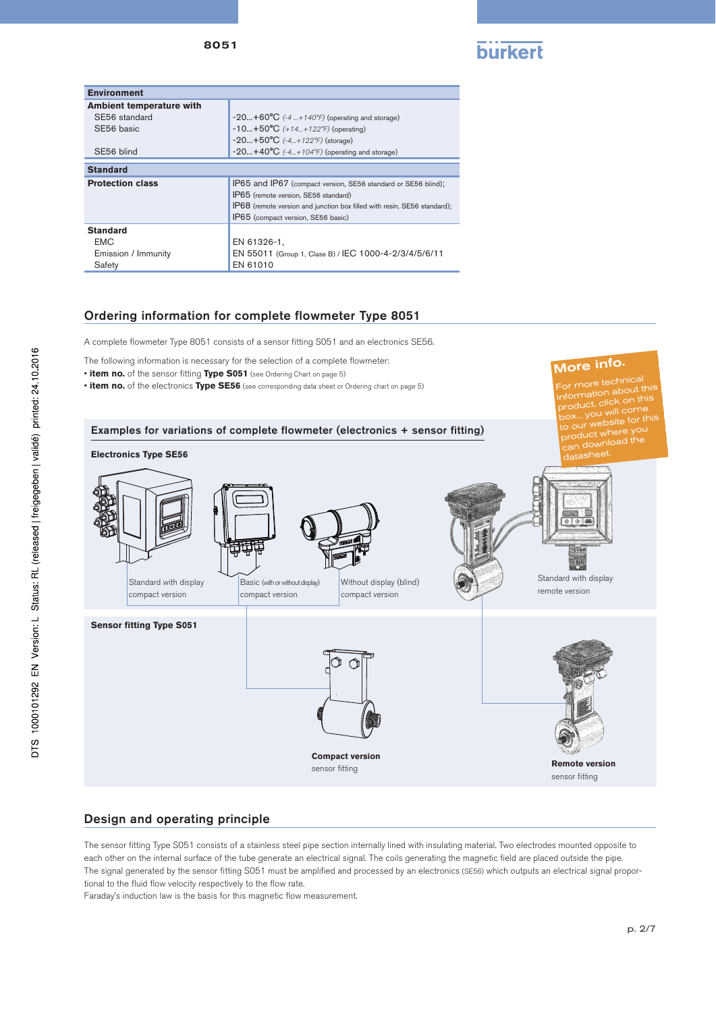

More info.

| <b>Environment</b>       |                                                                          |
|--------------------------|--------------------------------------------------------------------------|
| Ambient temperature with |                                                                          |
| SE56 standard            | $-20+60^{\circ}C$ (-4  + 140°F) (operating and storage)                  |
| SE56 basic               | $-10+50^{\circ}C$ (+14+122°F) (operating)                                |
|                          | $-20+50$ °C $(-4+122$ °F) (storage)                                      |
| SE56 blind               | $-20+40^{\circ}C$ (-4+104°F) (operating and storage)                     |
| <b>Standard</b>          |                                                                          |
| <b>Protection class</b>  | IP65 and IP67 (compact version, SE56 standard or SE56 blind);            |
|                          | IP65 (remote version, SE56 standard)                                     |
|                          | IP68 (remote version and junction box filled with resin, SE56 standard); |
|                          | IP65 (compact version, SE56 basic)                                       |
| <b>Standard</b>          |                                                                          |
| <b>EMC</b>               | EN 61326-1,                                                              |
| Emission / Immunity      | EN 55011 (Group 1, Class B) / IEC 1000-4-2/3/4/5/6/11                    |
| Safety                   | EN 61010                                                                 |

## Ordering information for complete flowmeter Type 8051

A complete flowmeter Type 8051 consists of a sensor fitting S051 and an electronics SE56.

The following information is necessary for the selection of a complete flowmeter:

- **item no.** of the sensor fitting **Type S051** (see Ordering Chart on page 5)
- **item no.** of the electronics **Type SE56** (see corresponding data sheet or Ordering chart on page 5)



## Design and operating principle

The sensor fitting Type S051 consists of a stainless steel pipe section internally lined with insulating material. Two electrodes mounted opposite to each other on the internal surface of the tube generate an electrical signal. The coils generating the magnetic field are placed outside the pipe. The signal generated by the sensor fitting S051 must be amplified and processed by an electronics (SE56) which outputs an electrical signal proportional to the fluid flow velocity respectively to the flow rate.

Faraday's induction law is the basis for this magnetic flow measurement.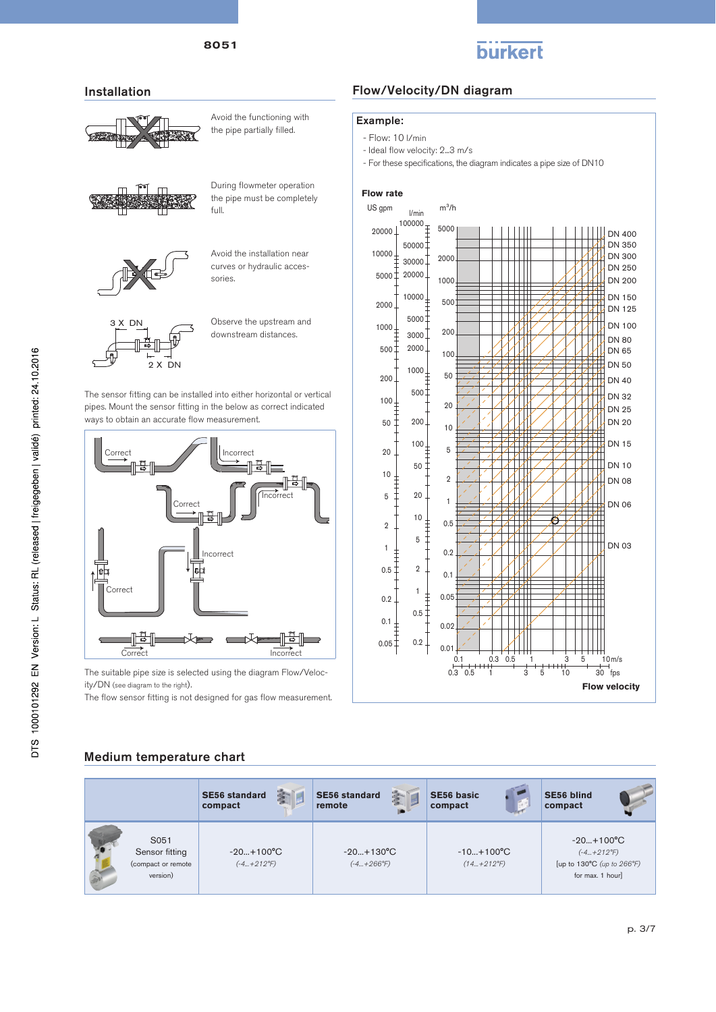

### Installation



Avoid the functioning with the pipe partially filled.



During flowmeter operation the pipe must be completely full.



Avoid the installation near curves or hydraulic accessories



Observe the upstream and downstream distances.

The sensor fitting can be installed into either horizontal or vertical pipes. Mount the sensor fitting in the below as correct indicated ways to obtain an accurate flow measurement.



The suitable pipe size is selected using the diagram Flow/Velocity/DN (see diagram to the right).

The flow sensor fitting is not designed for gas flow measurement.

## Flow/Velocity/DN diagram

#### Example:

- Flow: 10 l/min
- Ideal flow velocity: 2...3 m/s
- For these specifications, the diagram indicates a pipe size of DN10

#### **Flow rate** US gpm  $m^3/h$ l/min  $20000 \downarrow$ <sup>100000</sup>  $\ddagger$  5000 DN 400 DN 350  $500001$ 10000 DN 300  $30000$ 2000 DN 250 20000 5000 DN 200 1000 DN 150 10000 500 2000 DN 125 5000 DN 100 1000  $3000^{-}$ 200 DN 80  $500<sup>+</sup>$ 2000 DN 65 100 DN 50  $1000 -$ 200 50 **DN 40**  $\mathcal{H}_{\mathcal{U}}$  $500<sup>+</sup>$ DN 32  $100<sub>1</sub>$ 20 DN 25 ŧ 50 200. DN 20  $10$ DN 15  $100_1$  $\overline{5}$  $20$ DN 10 50  $10$  $\overline{2}$ DN 08  $\ddagger$ 5 20  $\overline{1}$ DN 06  $10$  $0.5$  $\overline{2}$  $\overline{5}$  $\mathbf{L}$  $\Box$ DN 03  $\overline{1}$  $\begin{array}{c} + \\ + \\ + \end{array}$  $0.2$  $0.5$  $\overline{2}$  $0.1$  $\overline{1}$  $\ddagger$  $0.05$  $0.2$  $0.5$ ╥╥  $\top$  $\top$  $\top$  $0.1$  $\frac{1}{\epsilon}$  $0.02$  $0.05\frac{1}{5}$  $0.2$  $0.01$  $10<sub>m/s</sub>$ 0.1 0.3 0.5 1 3 5 10  $0.3$   $0.5$  1  $3$   $5$  10  $\frac{1}{30}$  fps **Flow velocity**

## Medium temperature chart

|                                                          | 藰<br><b>SE56 standard</b><br>compact | 一部<br><b>SE56 standard</b><br>remote      | <b>SE56 basic</b><br>compact              | <b>SE56 blind</b><br>compact                                                                |
|----------------------------------------------------------|--------------------------------------|-------------------------------------------|-------------------------------------------|---------------------------------------------------------------------------------------------|
| S051<br>Sensor fitting<br>(compact or remote<br>version) | $-20+100°C$<br>$(-4+212^{\circ}F)$   | $-20+130^{\circ}C$<br>$(-4+266^{\circ}F)$ | $-10+100^{\circ}C$<br>$(14+212^{\circ}F)$ | $-20+100^{\circ}C$<br>$(-4+212^{\circ}F)$<br>[up to 130°C (up to 266°F)<br>for max. 1 hour] |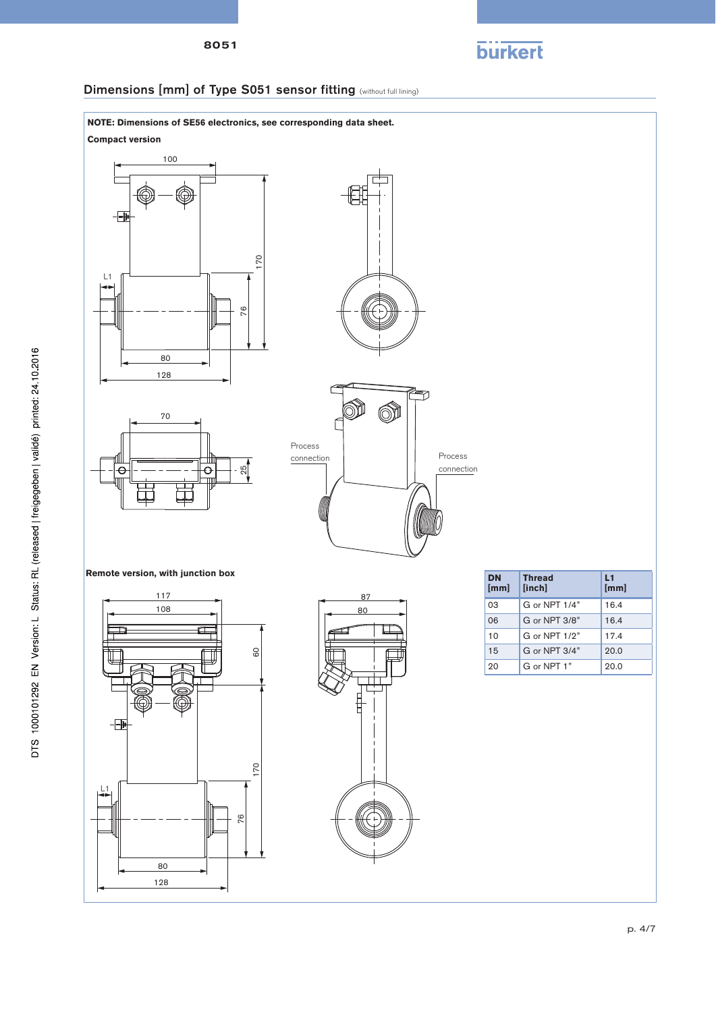

## Dimensions [mm] of Type S051 sensor fitting (without full lining)

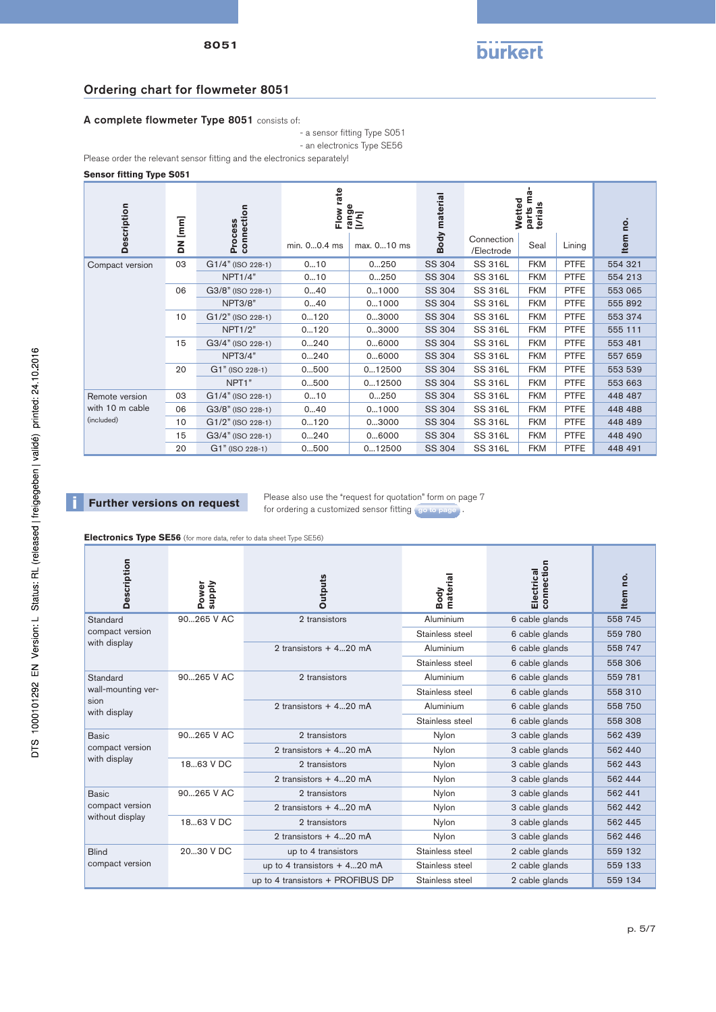

## Ordering chart for flowmeter 8051

### A complete flowmeter Type 8051 consists of:

- a sensor fitting Type S051

- an electronics Type SE56

Please order the relevant sensor fitting and the electronics separately!

#### **Sensor fitting Type S051**

| <b>Description</b><br>connection<br>[mm] |    |                     | ate<br>range<br>[//h]<br>Flow |             | Ê<br>material<br>Wetted<br>parts n<br>terials |                          |            | e           |         |
|------------------------------------------|----|---------------------|-------------------------------|-------------|-----------------------------------------------|--------------------------|------------|-------------|---------|
|                                          | 좀  | Process             | min. 00.4 ms                  | max. 010 ms | Body                                          | Connection<br>/Electrode | Seal       | Lining      | Item    |
| Compact version                          | 03 | G1/4" (ISO 228-1)   | 010                           | 0250        | SS 304                                        | <b>SS 316L</b>           | <b>FKM</b> | <b>PTFE</b> | 554 321 |
|                                          |    | NPT1/4"             | 010                           | 0250        | SS 304                                        | SS 316L                  | <b>FKM</b> | <b>PTFE</b> | 554 213 |
|                                          | 06 | G3/8" (ISO 228-1)   | 040                           | 01000       | SS 304                                        | <b>SS 316L</b>           | <b>FKM</b> | <b>PTFE</b> | 553 065 |
|                                          |    | <b>NPT3/8"</b>      | 040                           | 01000       | SS 304                                        | <b>SS 316L</b>           | <b>FKM</b> | <b>PTFE</b> | 555 892 |
|                                          | 10 | G1/2" (ISO 228-1)   | 0120                          | 03000       | SS 304                                        | <b>SS 316L</b>           | <b>FKM</b> | <b>PTFE</b> | 553 374 |
|                                          |    | NPT1/2"             | 0120                          | 03000       | SS 304                                        | <b>SS 316L</b>           | <b>FKM</b> | <b>PTFE</b> | 555 111 |
|                                          | 15 | G3/4" (ISO 228-1)   | 0240                          | 06000       | SS 304                                        | <b>SS 316L</b>           | <b>FKM</b> | <b>PTFE</b> | 553 481 |
|                                          |    | <b>NPT3/4"</b>      | 0240                          | 06000       | SS 304                                        | SS 316L                  | <b>FKM</b> | <b>PTFE</b> | 557 659 |
|                                          | 20 | $G1"$ (ISO 228-1)   | 0500                          | 012500      | SS 304                                        | SS 316L                  | <b>FKM</b> | <b>PTFE</b> | 553 539 |
|                                          |    | NPT <sub>1</sub> "  | 0500                          | 012500      | SS 304                                        | <b>SS 316L</b>           | <b>FKM</b> | <b>PTFE</b> | 553 663 |
| Remote version                           | 03 | G1/4" (ISO 228-1)   | 010                           | 0250        | SS 304                                        | SS 316L                  | <b>FKM</b> | <b>PTFE</b> | 448 487 |
| with 10 m cable<br>(included)            | 06 | G3/8" (ISO 228-1)   | 040                           | 01000       | SS 304                                        | SS 316L                  | <b>FKM</b> | <b>PTFE</b> | 448 488 |
|                                          | 10 | $G1/2"$ (ISO 228-1) | 0120                          | 03000       | SS 304                                        | <b>SS 316L</b>           | <b>FKM</b> | <b>PTFE</b> | 448 489 |
|                                          | 15 | G3/4" (ISO 228-1)   | 0240                          | 06000       | SS 304                                        | SS 316L                  | <b>FKM</b> | <b>PTFE</b> | 448 490 |
|                                          | 20 | G1" (ISO 228-1)     | 0500                          | 012500      | SS 304                                        | <b>SS 316L</b>           | <b>FKM</b> | <b>PTFE</b> | 448 491 |

**Further versions on request** Please also use the "request for quotation" form on page 7 for ordering a customized sensor fitting go to page.

**Electronics Type SE56** (for more data, refer to data sheet Type SE56)

| <b>Description</b>                                 | <b>Viddns</b><br>Power | <b>Outputs</b>                    | Body<br>material | connection<br>Electrical | Item no. |
|----------------------------------------------------|------------------------|-----------------------------------|------------------|--------------------------|----------|
| Standard                                           | 90265 V AC             | 2 transistors                     | Aluminium        | 6 cable glands           | 558 745  |
| compact version                                    |                        |                                   | Stainless steel  | 6 cable glands           | 559 780  |
| with display                                       |                        | 2 transistors + 420 mA            | Aluminium        | 6 cable glands           | 558 747  |
|                                                    |                        |                                   | Stainless steel  | 6 cable glands           | 558 306  |
| Standard                                           | 90265 V AC             | 2 transistors                     | Aluminium        | 6 cable glands           | 559 781  |
| wall-mounting ver-                                 |                        |                                   | Stainless steel  | 6 cable glands           | 558 310  |
| sion<br>with display                               |                        | 2 transistors $+420$ mA           | Aluminium        | 6 cable glands           | 558 750  |
|                                                    |                        |                                   | Stainless steel  | 6 cable glands           | 558 308  |
| Basic                                              | 90265 V AC             | 2 transistors                     | Nylon            | 3 cable glands           | 562 439  |
| compact version                                    |                        | 2 transistors + 420 mA            | Nylon            | 3 cable glands           | 562 440  |
| with display                                       | 1863 V DC              | 2 transistors                     | Nylon            | 3 cable glands           | 562 443  |
|                                                    |                        | 2 transistors $+ 4$ 20 mA         | Nylon            | 3 cable glands           | 562 444  |
| <b>Basic</b><br>compact version<br>without display | 90265 V AC             | 2 transistors                     | Nylon            | 3 cable glands           | 562 441  |
|                                                    |                        | 2 transistors + 420 mA            | Nylon            | 3 cable glands           | 562 442  |
|                                                    | 1863 V DC              | 2 transistors                     | Nylon            | 3 cable glands           | 562 445  |
|                                                    |                        | 2 transistors $+420$ mA           | Nylon            | 3 cable glands           | 562 446  |
| <b>Blind</b>                                       | 2030 V DC              | up to 4 transistors               | Stainless steel  | 2 cable glands           | 559 132  |
| compact version                                    |                        | up to 4 transistors $+ 420$ mA    | Stainless steel  | 2 cable glands           | 559 133  |
|                                                    |                        | up to 4 transistors + PROFIBUS DP | Stainless steel  | 2 cable glands           | 559 134  |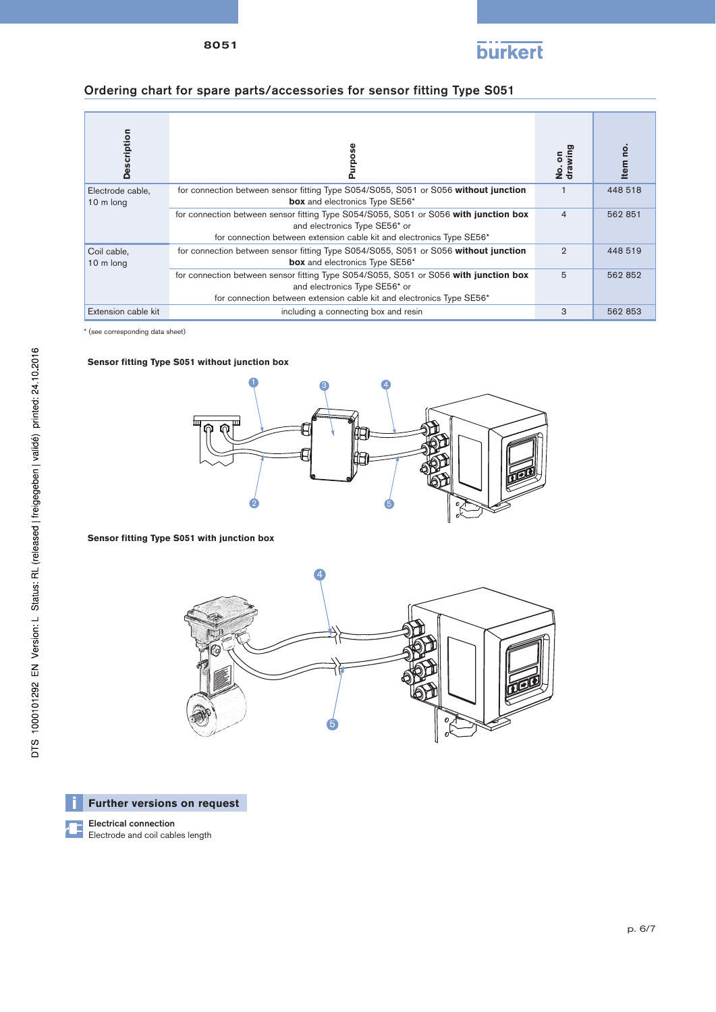

## Ordering chart for spare parts/accessories for sensor fitting Type S051

| <b>Description</b>            |                                                                                                                                                                                                | No.on<br>drawing | Item no. |
|-------------------------------|------------------------------------------------------------------------------------------------------------------------------------------------------------------------------------------------|------------------|----------|
| Electrode cable,<br>10 m long | for connection between sensor fitting Type S054/S055, S051 or S056 without junction<br>box and electronics Type SE56*                                                                          |                  | 448 518  |
|                               | for connection between sensor fitting Type S054/S055, S051 or S056 with junction box<br>and electronics Type SE56* or<br>for connection between extension cable kit and electronics Type SE56* | $\overline{4}$   | 562 851  |
| Coil cable,<br>10 m long      | for connection between sensor fitting Type S054/S055, S051 or S056 without junction<br>box and electronics Type SE56*                                                                          | $\overline{2}$   | 448 519  |
|                               | for connection between sensor fitting Type S054/S055, S051 or S056 with junction box<br>and electronics Type SE56* or<br>for connection between extension cable kit and electronics Type SE56* | 5                | 562 852  |
| Extension cable kit           | including a connecting box and resin                                                                                                                                                           | 3                | 562 853  |

\* (see corresponding data sheet)

### **Sensor fitting Type S051 without junction box**



## **Sensor fitting Type S051 with junction box**